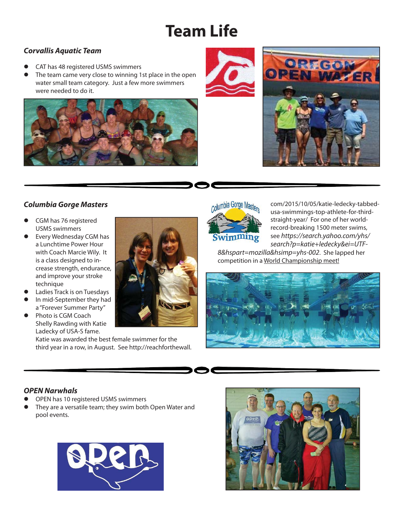# **Team Life**

## *Corvallis Aquatic Team*

- CAT has 48 registered USMS swimmers
- The team came very close to winning 1st place in the open water small team category. Just a few more swimmers were needed to do it.





# *Columbia Gorge Masters*

- **CGM** has 76 registered USMS swimmers
- Every Wednesday CGM has a Lunchtime Power Hour with Coach Marcie Wily. It is a class designed to increase strength, endurance, and improve your stroke technique
- Ladies Track is on Tuesdays
- In mid-September they had a "Forever Summer Party"
- Photo is CGM Coach Shelly Rawding with Katie Ladecky of USA-S fame.

Katie was awarded the best female swimmer for the third year in a row, in August. See http://reachforthewall.



com/2015/10/05/katie-ledecky-tabbedusa-swimmings-top-athlete-for-thirdstraight-year/ For one of her worldrecord-breaking 1500 meter swims, see *https://search.yahoo.com/yhs/ search?p=katie+ledecky&ei=UTF-*

*8&hspart=mozilla&hsimp=yhs-002*. She lapped her competition in a World Championship meet!



## *OPEN Narwhals*

- OPEN has 10 registered USMS swimmers
- They are a versatile team; they swim both Open Water and pool events.



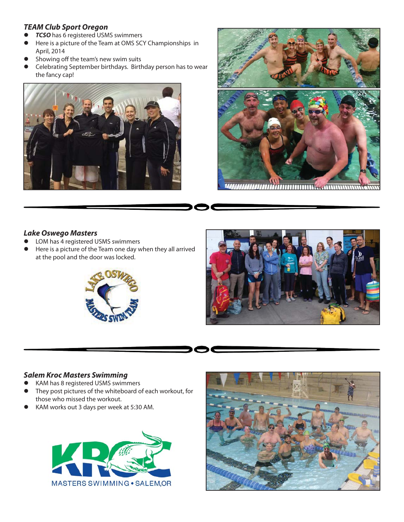#### *TEAM Club Sport Oregon*

- *TCSO* has 6 registered USMS swimmers
- Here is a picture of the Team at OMS SCY Championships in April, 2014
- Showing off the team's new swim suits
- Celebrating September birthdays. Birthday person has to wear the fancy cap!





#### *Lake Oswego Masters*

- LOM has 4 registered USMS swimmers
- Here is a picture of the Team one day when they all arrived at the pool and the door was locked.





#### *Salem Kroc Masters Swimming*

- KAM has 8 registered USMS swimmers
- They post pictures of the whiteboard of each workout, for those who missed the workout.
- KAM works out 3 days per week at 5:30 AM.